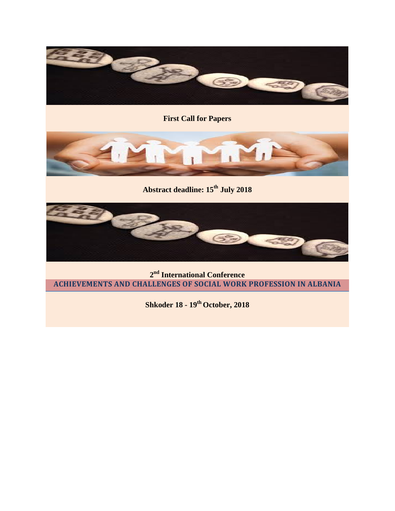

**First Call for Papers**



**Abstract deadline: 15th July 2018**



**2nd International Conference ACHIEVEMENTS AND CHALLENGES OF SOCIAL WORK PROFESSION IN ALBANIA**

**Shkoder 18 - 19th October, 2018**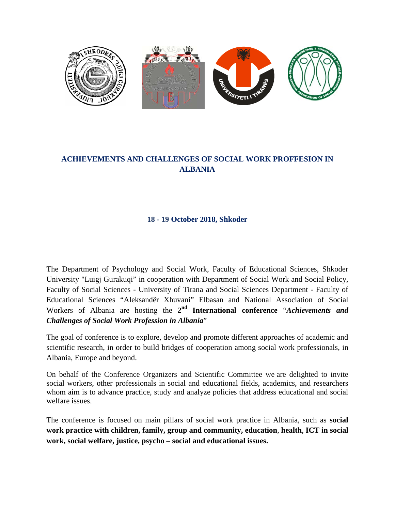

# **ACHIEVEMENTS AND CHALLENGES OF SOCIAL WORK PROFFESION IN ALBANIA**

## **18 - 19 October 2018, Shkoder**

The Department of Psychology and Social Work, Faculty of Educational Sciences, Shkoder University "Luigj Gurakuqi" in cooperation with Department of Social Work and Social Policy, Faculty of Social Sciences - University of Tirana and Social Sciences Department - Faculty of Educational Sciences "Aleksandër Xhuvani" Elbasan and National Association of Social Workers of Albania are hosting the **2nd International conference** "*Achievements and Challenges of Social Work Profession in Albania*"

The goal of conference is to explore, develop and promote different approaches of academic and scientific research, in order to build bridges of cooperation among social work professionals, in Albania, Europe and beyond.

On behalf of the Conference Organizers and Scientific Committee we are delighted to invite social workers, other professionals in social and educational fields, academics, and researchers whom aim is to advance practice, study and analyze policies that address educational and social welfare issues.

The conference is focused on main pillars of social work practice in Albania, such as **social work practice with children, family, group and community, education**, **health**, **ICT in social work, social welfare, justice, psycho – social and educational issues.**